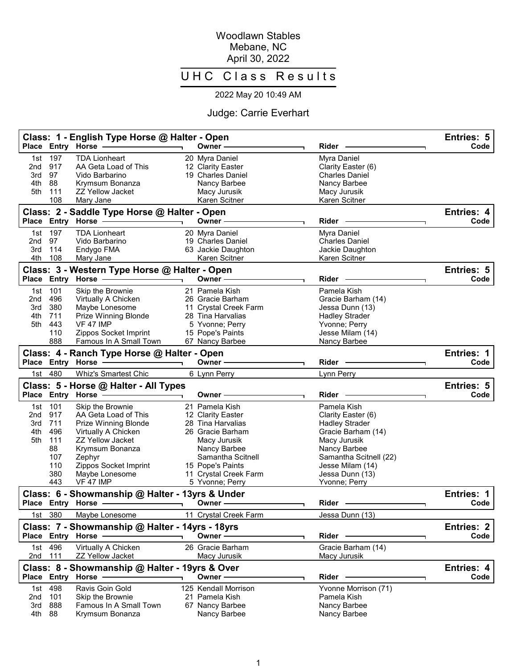## Woodlawn Stables Mebane, NC April 30, 2022

## UHC Class Results

## 2022 May 20 10:49 AM

## Judge: Carrie Everhart

|                 |            | Class: 1 - English Type Horse @ Halter - Open<br>Place Entry Horse     |    | Owner -                             | <b>Rider</b>                       | Entries: 5<br>Code        |
|-----------------|------------|------------------------------------------------------------------------|----|-------------------------------------|------------------------------------|---------------------------|
| 1st             | 197        | <b>TDA Lionheart</b>                                                   |    | 20 Myra Daniel                      | Myra Daniel                        |                           |
| 2nd             | 917        | AA Geta Load of This                                                   |    | 12 Clarity Easter                   | Clarity Easter (6)                 |                           |
| 3rd             | 97         | Vido Barbarino                                                         |    | 19 Charles Daniel                   | <b>Charles Daniel</b>              |                           |
| 4th             | 88         | Krymsum Bonanza                                                        |    | Nancy Barbee                        | Nancy Barbee                       |                           |
| 5th             | 111        | <b>ZZ Yellow Jacket</b>                                                |    | Macy Jurusik                        | Macy Jurusik                       |                           |
|                 | 108        | Mary Jane                                                              |    | Karen Scitner                       | Karen Scitner                      |                           |
|                 |            | Class: 2 - Saddle Type Horse @ Halter - Open<br>Place Entry Horse      |    | Owner -                             | <b>Rider</b>                       | Entries: 4<br>Code        |
| 1st             | 197        | <b>TDA Lionheart</b>                                                   |    | 20 Myra Daniel                      | Myra Daniel                        |                           |
| 2 <sub>nd</sub> | 97         | Vido Barbarino                                                         |    | 19 Charles Daniel                   | <b>Charles Daniel</b>              |                           |
| 3rd             | 114        | Endygo FMA                                                             |    | 63 Jackie Daughton                  | Jackie Daughton                    |                           |
| 4th             | 108        | Mary Jane                                                              |    | Karen Scitner                       | Karen Scitner                      |                           |
|                 |            | Class: 3 - Western Type Horse @ Halter - Open                          |    |                                     |                                    | Entries: 5                |
|                 |            | Place Entry Horse                                                      |    | Owner -                             | <b>Rider</b>                       | Code                      |
| 1st             | 101        | Skip the Brownie                                                       |    | 21 Pamela Kish                      | Pamela Kish                        |                           |
| 2 <sub>nd</sub> | 496        | Virtually A Chicken                                                    |    | 26 Gracie Barham                    | Gracie Barham (14)                 |                           |
| 3rd             | 380        | Maybe Lonesome                                                         |    | 11 Crystal Creek Farm               | Jessa Dunn (13)                    |                           |
| 4th<br>5th      | 711<br>443 | Prize Winning Blonde<br><b>VF 47 IMP</b>                               |    | 28 Tina Harvalias                   | <b>Hadley Strader</b>              |                           |
|                 | 110        | Zippos Socket Imprint                                                  |    | 5 Yvonne; Perry<br>15 Pope's Paints | Yvonne; Perry<br>Jesse Milam (14)  |                           |
|                 | 888        | Famous In A Small Town                                                 |    | 67 Nancy Barbee                     | Nancy Barbee                       |                           |
|                 |            |                                                                        |    |                                     |                                    |                           |
|                 |            | Class: 4 - Ranch Type Horse @ Halter - Open<br>Place Entry Horse       |    | Owner -                             | Rider                              | <b>Entries: 1</b><br>Code |
| 1st             | 480        | <b>Whiz's Smartest Chic</b>                                            |    | 6 Lynn Perry                        | Lynn Perry                         |                           |
|                 |            |                                                                        |    |                                     |                                    |                           |
|                 |            | Class: 5 - Horse @ Halter - All Types<br>Place Entry Horse             |    | Owner ·                             | Rider                              | Entries: 5<br>Code        |
| 1st             | 101        | Skip the Brownie                                                       |    | 21 Pamela Kish                      | Pamela Kish                        |                           |
| 2nd             | 917        | AA Geta Load of This                                                   |    | 12 Clarity Easter                   | Clarity Easter (6)                 |                           |
| 3rd             | 711        | <b>Prize Winning Blonde</b>                                            |    | 28 Tina Harvalias                   | <b>Hadley Strader</b>              |                           |
| 4th             | 496        | Virtually A Chicken                                                    |    | 26 Gracie Barham                    | Gracie Barham (14)                 |                           |
| 5th             | 111        | <b>ZZ Yellow Jacket</b>                                                |    | Macy Jurusik                        | Macy Jurusik                       |                           |
|                 | 88         | Krymsum Bonanza                                                        |    | Nancy Barbee                        | Nancy Barbee                       |                           |
|                 | 107        | Zephyr                                                                 |    | Samantha Scitnell                   | Samantha Scitnell (22)             |                           |
|                 | 110        | Zippos Socket Imprint                                                  |    | 15 Pope's Paints                    | Jesse Milam (14)                   |                           |
|                 | 380        | Maybe Lonesome                                                         |    | 11 Crystal Creek Farm               | Jessa Dunn (13)                    |                           |
|                 | 443        | <b>VF 47 IMP</b>                                                       |    | 5 Yvonne; Perry                     | Yvonne; Perry                      |                           |
|                 |            | Class: 6 - Showmanship @ Halter - 13yrs & Under<br>Place Entry Horse - |    | Owner –                             | Rider                              | <b>Entries: 1</b><br>Code |
|                 | 1st 380    | Maybe Lonesome                                                         |    | 11 Crystal Creek Farm               | Jessa Dunn (13)                    |                           |
|                 |            | Class: 7 - Showmanship @ Halter - 14yrs - 18yrs                        |    |                                     |                                    | Entries: 2                |
|                 |            | Place Entry Horse                                                      |    | Owner -                             | Rider                              | Code                      |
| 1st<br>2nd      | 496<br>111 | Virtually A Chicken<br><b>ZZ Yellow Jacket</b>                         |    | 26 Gracie Barham<br>Macy Jurusik    | Gracie Barham (14)<br>Macy Jurusik |                           |
|                 |            | Class: 8 - Showmanship @ Halter - 19yrs & Over                         |    |                                     |                                    | Entries: 4                |
|                 |            | Place Entry Horse                                                      |    | Owner -                             | Rider                              | Code                      |
| 1st             | 498        | Ravis Goin Gold                                                        |    | 125 Kendall Morrison                | Yvonne Morrison (71)               |                           |
| 2nd             | 101        | Skip the Brownie                                                       | 21 | Pamela Kish                         | Pamela Kish                        |                           |
| 3rd             | 888        | Famous In A Small Town                                                 |    | 67 Nancy Barbee                     | Nancy Barbee                       |                           |
| 4th             | 88         | Krymsum Bonanza                                                        |    | Nancy Barbee                        | Nancy Barbee                       |                           |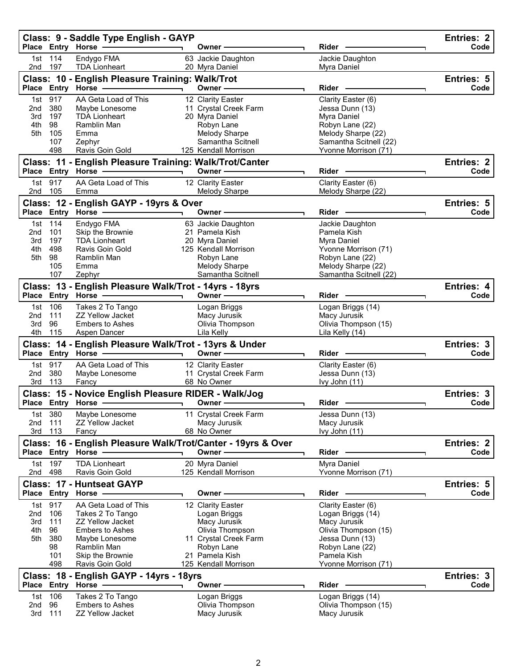|                                             |                                                    | Class: 9 - Saddle Type English - GAYP<br>Place Entry Horse - 2006                                                                                                     |                          | Owner —                                                                                                                                            | $Rider -$                                                                                                                                                    | Entries: 2<br>Code        |
|---------------------------------------------|----------------------------------------------------|-----------------------------------------------------------------------------------------------------------------------------------------------------------------------|--------------------------|----------------------------------------------------------------------------------------------------------------------------------------------------|--------------------------------------------------------------------------------------------------------------------------------------------------------------|---------------------------|
|                                             | 1st 114<br>2nd 197                                 | Endygo FMA<br><b>TDA Lionheart</b>                                                                                                                                    |                          | 63 Jackie Daughton<br>20 Myra Daniel                                                                                                               | Jackie Daughton<br>Myra Daniel                                                                                                                               |                           |
|                                             |                                                    | Class: 10 - English Pleasure Training: Walk/Trot<br>Place Entry Horse -                                                                                               | $\overline{\phantom{0}}$ | Owner —                                                                                                                                            | Rider -                                                                                                                                                      | Entries: 5<br>Code        |
| 2nd<br>3rd<br>4th<br>5th                    | 1st 917<br>380<br>197<br>98<br>105<br>107<br>498   | AA Geta Load of This<br>Maybe Lonesome<br><b>TDA Lionheart</b><br>Ramblin Man<br>Emma<br>Zephyr<br>Ravis Goin Gold                                                    |                          | 12 Clarity Easter<br>11 Crystal Creek Farm<br>20 Myra Daniel<br>Robyn Lane<br>Melody Sharpe<br>Samantha Scitnell<br>125 Kendall Morrison           | Clarity Easter (6)<br>Jessa Dunn (13)<br>Myra Daniel<br>Robyn Lane (22)<br>Melody Sharpe (22)<br>Samantha Scitnell (22)<br>Yvonne Morrison (71)              |                           |
|                                             |                                                    | Class: 11 - English Pleasure Training: Walk/Trot/Canter<br>Place Entry Horse - All Allen Andrew Place Andrew Place                                                    |                          | Owner $\longrightarrow$                                                                                                                            |                                                                                                                                                              | <b>Entries: 2</b><br>Code |
| 2nd 105                                     | 1st 917                                            | AA Geta Load of This<br>Emma                                                                                                                                          |                          | 12 Clarity Easter<br>Melody Sharpe                                                                                                                 | Clarity Easter (6)<br>Melody Sharpe (22)                                                                                                                     |                           |
|                                             |                                                    | Class: 12 - English GAYP - 19yrs & Over<br>Place Entry Horse                                                                                                          |                          | Owner ————                                                                                                                                         | Rider -                                                                                                                                                      | Entries: 5<br>Code<br>٦.  |
| 2nd<br>3rd<br>4th<br>5th                    | 1st 114<br>101<br>197<br>498<br>98<br>105<br>107   | Endygo FMA<br>Skip the Brownie<br><b>TDA Lionheart</b><br>Ravis Goin Gold<br>Ramblin Man<br>Emma<br>Zephyr                                                            |                          | 63 Jackie Daughton<br>21 Pamela Kish<br>20 Myra Daniel<br>125 Kendall Morrison<br>Robyn Lane<br>Melody Sharpe<br>Samantha Scitnell                 | Jackie Daughton<br>Pamela Kish<br>Myra Daniel<br>Yvonne Morrison (71)<br>Robyn Lane (22)<br>Melody Sharpe (22)<br>Samantha Scitnell (22)                     |                           |
|                                             |                                                    | Class: 13 - English Pleasure Walk/Trot - 14yrs - 18yrs                                                                                                                |                          | Owner $\overline{\phantom{iiiiiiiiiiiiiiiiiii}}$                                                                                                   | Rider <b>Container</b>                                                                                                                                       | Entries: 4<br>Code        |
| 2nd<br>3rd<br>4th                           | 1st 106<br>111<br>96<br>115                        | Takes 2 To Tango<br><b>ZZ Yellow Jacket</b><br><b>Embers to Ashes</b><br>Aspen Dancer                                                                                 |                          | Logan Briggs<br>Macy Jurusik<br>Olivia Thompson<br>Lila Kelly                                                                                      | Logan Briggs (14)<br>Macy Jurusik<br>Olivia Thompson (15)<br>Lila Kelly (14)                                                                                 |                           |
|                                             |                                                    | Class: 14 - English Pleasure Walk/Trot - 13yrs & Under<br>Place Entry Horse - and the manufacturer                                                                    |                          | Owner ——————                                                                                                                                       | Rider -                                                                                                                                                      | Entries: 3<br>Code        |
| 2nd<br>3rd                                  | 1st 917<br>380<br>113                              | AA Geta Load of This<br>Maybe Lonesome<br>Fancy                                                                                                                       |                          | 12 Clarity Easter<br>11 Crystal Creek Farm<br>68 No Owner                                                                                          | Clarity Easter (6)<br>Jessa Dunn (13)<br>Ivy John (11)                                                                                                       |                           |
|                                             |                                                    | Class: 15 - Novice English Pleasure RIDER - Walk/Jog<br>Place Entry Horse - and the manufacturer                                                                      |                          | Owner —————                                                                                                                                        | Rider                                                                                                                                                        | Entries: 3<br>Code        |
| 1st<br>2nd<br>3rd                           | 380<br>111<br>113                                  | Maybe Lonesome<br><b>ZZ Yellow Jacket</b><br>Fancy                                                                                                                    |                          | 11 Crystal Creek Farm<br>Macy Jurusik<br>68 No Owner                                                                                               | Jessa Dunn (13)<br>Macy Jurusik<br>Ivy John (11)                                                                                                             |                           |
|                                             |                                                    | Class: 16 - English Pleasure Walk/Trot/Canter - 19yrs & Over<br>Place Entry Horse                                                                                     |                          | Owner                                                                                                                                              | <b>Rider</b>                                                                                                                                                 | Entries: 2<br>Code        |
| 1st<br>2nd                                  | 197<br>498                                         | <b>TDA Lionheart</b><br>Ravis Goin Gold                                                                                                                               |                          | 20 Myra Daniel<br>125 Kendall Morrison                                                                                                             | Myra Daniel<br>Yvonne Morrison (71)                                                                                                                          |                           |
|                                             |                                                    | <b>Class: 17 - Huntseat GAYP</b><br>Place Entry Horse                                                                                                                 |                          | Owner⊹                                                                                                                                             | <b>Rider</b>                                                                                                                                                 | Entries: 5<br>Code        |
| 1st<br>2 <sub>nd</sub><br>3rd<br>4th<br>5th | 917<br>106<br>111<br>96<br>380<br>98<br>101<br>498 | AA Geta Load of This<br>Takes 2 To Tango<br><b>ZZ Yellow Jacket</b><br><b>Embers to Ashes</b><br>Maybe Lonesome<br>Ramblin Man<br>Skip the Brownie<br>Ravis Goin Gold | 21.                      | 12 Clarity Easter<br>Logan Briggs<br>Macy Jurusik<br>Olivia Thompson<br>11 Crystal Creek Farm<br>Robyn Lane<br>Pamela Kish<br>125 Kendall Morrison | Clarity Easter (6)<br>Logan Briggs (14)<br>Macy Jurusik<br>Olivia Thompson (15)<br>Jessa Dunn (13)<br>Robyn Lane (22)<br>Pamela Kish<br>Yvonne Morrison (71) |                           |
|                                             |                                                    | Class: 18 - English GAYP - 14yrs - 18yrs<br>Place Entry Horse                                                                                                         |                          | Owner –                                                                                                                                            | Rider                                                                                                                                                        | Entries: 3<br>Code        |
| 1st<br>2nd<br>3rd                           | 106<br>96<br>111                                   | Takes 2 To Tango<br><b>Embers to Ashes</b><br><b>ZZ Yellow Jacket</b>                                                                                                 |                          | Logan Briggs<br>Olivia Thompson<br>Macy Jurusik                                                                                                    | Logan Briggs (14)<br>Olivia Thompson (15)<br>Macy Jurusik                                                                                                    |                           |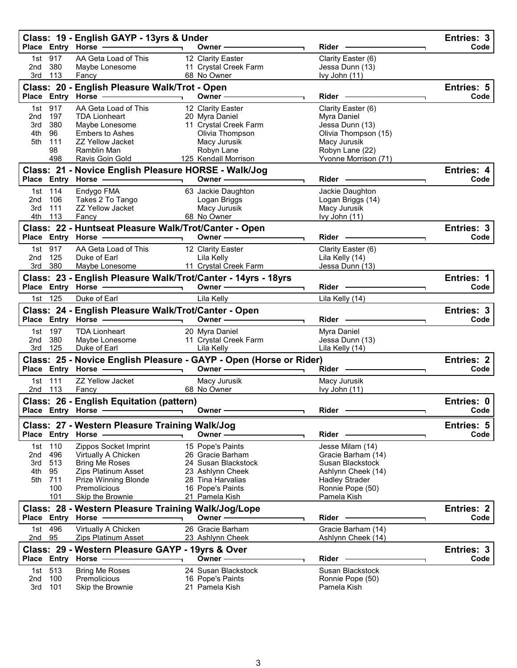|                        |                   | Class: 19 - English GAYP - 13yrs & Under<br>Place Entry Horse                                                 |                                                                    | Rider                                    | Entries: 3<br>Code |
|------------------------|-------------------|---------------------------------------------------------------------------------------------------------------|--------------------------------------------------------------------|------------------------------------------|--------------------|
|                        |                   |                                                                                                               | Owner-                                                             |                                          |                    |
| 1st -                  | 917               | AA Geta Load of This                                                                                          | 12 Clarity Easter                                                  | Clarity Easter (6)                       |                    |
| 2nd<br>3rd             | 380<br>113        | Maybe Lonesome<br>Fancy                                                                                       | 11 Crystal Creek Farm<br>68 No Owner                               | Jessa Dunn (13)<br>Ivy John (11)         |                    |
|                        |                   |                                                                                                               |                                                                    |                                          |                    |
|                        |                   | Class: 20 - English Pleasure Walk/Trot - Open<br>Place Entry Horse                                            | Owner-                                                             | Rider -                                  | Entries: 5<br>Code |
|                        |                   |                                                                                                               |                                                                    |                                          |                    |
| 1st<br>2nd             | 917<br>197        | AA Geta Load of This<br><b>TDA Lionheart</b>                                                                  | 12 Clarity Easter<br>20 Myra Daniel                                | Clarity Easter (6)<br>Myra Daniel        |                    |
| 3rd                    | 380               | Maybe Lonesome                                                                                                | 11 Crystal Creek Farm                                              | Jessa Dunn (13)                          |                    |
| 4th                    | 96                | <b>Embers to Ashes</b>                                                                                        | Olivia Thompson                                                    | Olivia Thompson (15)                     |                    |
| 5th                    | 111               | <b>ZZ Yellow Jacket</b>                                                                                       | Macy Jurusik                                                       | Macy Jurusik                             |                    |
|                        | 98                | Ramblin Man                                                                                                   | Robyn Lane                                                         | Robyn Lane (22)                          |                    |
|                        | 498               | Ravis Goin Gold                                                                                               | 125 Kendall Morrison                                               | Yvonne Morrison (71)                     |                    |
|                        |                   | Class: 21 - Novice English Pleasure HORSE - Walk/Jog                                                          |                                                                    |                                          | <b>Entries: 4</b>  |
|                        |                   | Place Entry Horse -                                                                                           | Owner -                                                            | Rider                                    | Code               |
|                        | 1st 114           | Endygo FMA                                                                                                    | 63 Jackie Daughton                                                 | Jackie Daughton                          |                    |
| 2nd                    | 106               | Takes 2 To Tango                                                                                              | Logan Briggs                                                       | Logan Briggs (14)                        |                    |
| 3rd<br>4th             | 111<br>113        | <b>ZZ Yellow Jacket</b><br>Fancy                                                                              | Macy Jurusik<br>68 No Owner                                        | Macy Jurusik<br>lvy John (11)            |                    |
|                        |                   |                                                                                                               |                                                                    |                                          |                    |
|                        |                   | Class: 22 - Huntseat Pleasure Walk/Trot/Canter - Open<br>Place Entry Horse -                                  | Owner -                                                            | Rider -                                  | Entries: 3<br>Code |
|                        |                   |                                                                                                               |                                                                    |                                          |                    |
| 2nd                    | 1st 917<br>125    | AA Geta Load of This<br>Duke of Earl                                                                          | 12 Clarity Easter<br>Lila Kelly                                    | Clarity Easter (6)<br>Lila Kelly (14)    |                    |
| 3rd -                  | 380               | Maybe Lonesome                                                                                                | 11 Crystal Creek Farm                                              | Jessa Dunn (13)                          |                    |
|                        |                   | Class: 23 - English Pleasure Walk/Trot/Canter - 14yrs - 18yrs                                                 |                                                                    |                                          | Entries: 1         |
|                        |                   | Place Entry Horse - The Management of the Management of the Management of the Management of the Management of | Owner-                                                             | Rider -                                  | Code               |
|                        | 1st 125           | Duke of Earl                                                                                                  | Lila Kelly                                                         | Lila Kelly (14)                          |                    |
|                        |                   |                                                                                                               |                                                                    |                                          |                    |
|                        |                   | Class: 24 - English Pleasure Walk/Trot/Canter - Open<br>Place Entry Horse -                                   | Owner -                                                            | Rider -                                  | Entries: 3<br>Code |
|                        |                   |                                                                                                               |                                                                    |                                          |                    |
| 1st<br>2 <sub>nd</sub> | 197<br>380        | <b>TDA Lionheart</b><br>Maybe Lonesome                                                                        | 20 Myra Daniel<br>11 Crystal Creek Farm                            | Myra Daniel<br>Jessa Dunn (13)           |                    |
| 3rd                    | 125               | Duke of Earl                                                                                                  | Lila Kelly                                                         | Lila Kelly (14)                          |                    |
|                        |                   |                                                                                                               | Class: 25 - Novice English Pleasure - GAYP - Open (Horse or Rider) |                                          | Entries: 2         |
|                        |                   | Place Entry Horse                                                                                             | Owner —                                                            | Rider -                                  | Code               |
|                        | 1st 111           | <b>ZZ Yellow Jacket</b>                                                                                       | Macy Jurusik                                                       | Macy Jurusik                             |                    |
| 2nd                    | 113               | Fancy                                                                                                         | 68 No Owner                                                        | Ivy John (11)                            |                    |
|                        |                   | Class: 26 - English Equitation (pattern)                                                                      |                                                                    |                                          | Entries: 0         |
|                        | Place Entry Horse |                                                                                                               | Owner -                                                            | Rider                                    | Code               |
|                        |                   | Class: 27 - Western Pleasure Training Walk/Jog                                                                |                                                                    |                                          | Entries: 5         |
|                        |                   | Place Entry Horse                                                                                             | Owner –                                                            | Rider                                    | Code               |
| 1st                    | 110               | Zippos Socket Imprint                                                                                         | 15 Pope's Paints                                                   | Jesse Milam (14)                         |                    |
| 2nd                    | 496               | Virtually A Chicken                                                                                           | 26 Gracie Barham                                                   | Gracie Barham (14)                       |                    |
| 3rd                    | 513               | <b>Bring Me Roses</b>                                                                                         | 24 Susan Blackstock                                                | Susan Blackstock                         |                    |
| 4th                    | 95                | <b>Zips Platinum Asset</b>                                                                                    | 23 Ashlynn Cheek                                                   | Ashlynn Cheek (14)                       |                    |
| 5th                    | 711               | Prize Winning Blonde                                                                                          | 28 Tina Harvalias                                                  | <b>Hadley Strader</b>                    |                    |
|                        | 100               | Premolicious                                                                                                  | 16 Pope's Paints                                                   | Ronnie Pope (50)                         |                    |
|                        | 101               | Skip the Brownie                                                                                              | 21 Pamela Kish                                                     | Pamela Kish                              |                    |
|                        |                   | Class: 28 - Western Pleasure Training Walk/Jog/Lope<br>Place Entry Horse                                      | Owner -                                                            | Rider                                    | Entries: 2<br>Code |
|                        |                   |                                                                                                               |                                                                    |                                          |                    |
| 1st<br>2nd 95          | 496               | Virtually A Chicken<br>Zips Platinum Asset                                                                    | 26 Gracie Barham                                                   | Gracie Barham (14)<br>Ashlynn Cheek (14) |                    |
|                        |                   |                                                                                                               | 23 Ashlynn Cheek                                                   |                                          |                    |
|                        |                   | Class: 29 - Western Pleasure GAYP - 19yrs & Over                                                              |                                                                    |                                          | Entries: 3         |
|                        |                   | Place Entry Horse -                                                                                           | Owner -                                                            | Rider                                    | Code               |
| 1st                    | 513               | <b>Bring Me Roses</b>                                                                                         | 24 Susan Blackstock                                                | Susan Blackstock                         |                    |
| 2 <sub>nd</sub><br>3rd | 100<br>101        | Premolicious<br>Skip the Brownie                                                                              | 16 Pope's Paints<br>21 Pamela Kish                                 | Ronnie Pope (50)<br>Pamela Kish          |                    |
|                        |                   |                                                                                                               |                                                                    |                                          |                    |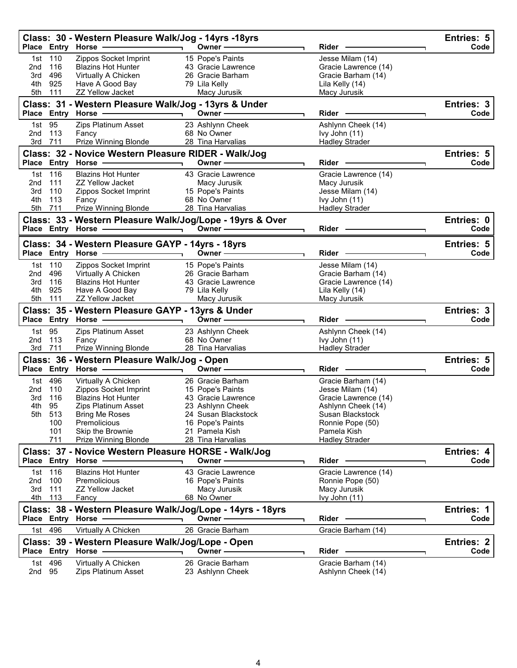|                                                              |                | Class: 30 - Western Pleasure Walk/Jog - 14yrs -18yrs<br>Place Entry Horse ————————————————————                                                                                                                                                                                                                                                                                                                                             | Owner-                                                     | Rider -                              | Entries: 5<br>Code |  |
|--------------------------------------------------------------|----------------|--------------------------------------------------------------------------------------------------------------------------------------------------------------------------------------------------------------------------------------------------------------------------------------------------------------------------------------------------------------------------------------------------------------------------------------------|------------------------------------------------------------|--------------------------------------|--------------------|--|
|                                                              | 1st 110        | Zippos Socket Imprint                                                                                                                                                                                                                                                                                                                                                                                                                      | 15 Pope's Paints                                           | Jesse Milam (14)                     |                    |  |
| 2nd                                                          | 116            | <b>Blazins Hot Hunter</b>                                                                                                                                                                                                                                                                                                                                                                                                                  | 43 Gracie Lawrence                                         | Gracie Lawrence (14)                 |                    |  |
|                                                              | 3rd 496        | Virtually A Chicken                                                                                                                                                                                                                                                                                                                                                                                                                        | 26 Gracie Barham                                           | Gracie Barham (14)                   |                    |  |
|                                                              | 4th 925        | Have A Good Bay                                                                                                                                                                                                                                                                                                                                                                                                                            | 79 Lila Kelly                                              | Lila Kelly (14)                      |                    |  |
|                                                              | 5th 111        | <b>ZZ Yellow Jacket</b>                                                                                                                                                                                                                                                                                                                                                                                                                    | Macy Jurusik                                               | Macy Jurusik                         |                    |  |
|                                                              |                | Class: 31 - Western Pleasure Walk/Jog - 13yrs & Under<br>Place Entry Horse - and the control of the Place Entry Horse                                                                                                                                                                                                                                                                                                                      | Owner-                                                     | Rider -                              | Entries: 3<br>Code |  |
|                                                              |                |                                                                                                                                                                                                                                                                                                                                                                                                                                            |                                                            |                                      |                    |  |
| 2nd                                                          | 1st 95<br>113  | Zips Platinum Asset<br>Fancy                                                                                                                                                                                                                                                                                                                                                                                                               | 23 Ashlynn Cheek<br>68 No Owner                            | Ashlynn Cheek (14)<br>Ivy John (11)  |                    |  |
|                                                              | 3rd 711        | Prize Winning Blonde                                                                                                                                                                                                                                                                                                                                                                                                                       | 28 Tina Harvalias                                          | <b>Hadley Strader</b>                |                    |  |
|                                                              |                | Class: 32 - Novice Western Pleasure RIDER - Walk/Jog                                                                                                                                                                                                                                                                                                                                                                                       |                                                            |                                      | Entries: 5         |  |
|                                                              |                | Place Entry Horse -<br>$\overline{\phantom{a}}$ and $\overline{\phantom{a}}$ and $\overline{\phantom{a}}$ and $\overline{\phantom{a}}$ and $\overline{\phantom{a}}$ and $\overline{\phantom{a}}$ and $\overline{\phantom{a}}$ and $\overline{\phantom{a}}$ and $\overline{\phantom{a}}$ and $\overline{\phantom{a}}$ and $\overline{\phantom{a}}$ and $\overline{\phantom{a}}$ and $\overline{\phantom{a}}$ and $\overline{\phantom{a}}$ a | Owner -                                                    | Rider -                              | Code               |  |
|                                                              | 1st 116        | <b>Blazins Hot Hunter</b>                                                                                                                                                                                                                                                                                                                                                                                                                  | 43 Gracie Lawrence                                         | Gracie Lawrence (14)                 |                    |  |
| 2nd                                                          | 111            | <b>ZZ Yellow Jacket</b>                                                                                                                                                                                                                                                                                                                                                                                                                    | Macy Jurusik                                               | Macy Jurusik                         |                    |  |
| 3rd                                                          | 110            | Zippos Socket Imprint                                                                                                                                                                                                                                                                                                                                                                                                                      | 15 Pope's Paints                                           | Jesse Milam (14)                     |                    |  |
| 4th                                                          | 113            | Fancy                                                                                                                                                                                                                                                                                                                                                                                                                                      | 68 No Owner                                                | Ivy John (11)                        |                    |  |
|                                                              | 5th 711        | Prize Winning Blonde                                                                                                                                                                                                                                                                                                                                                                                                                       | 28 Tina Harvalias                                          | <b>Hadley Strader</b>                |                    |  |
|                                                              |                |                                                                                                                                                                                                                                                                                                                                                                                                                                            | Class: 33 - Western Pleasure Walk/Jog/Lope - 19yrs & Over  |                                      | Entries: 0<br>Code |  |
|                                                              |                |                                                                                                                                                                                                                                                                                                                                                                                                                                            |                                                            |                                      |                    |  |
|                                                              |                | Class: 34 - Western Pleasure GAYP - 14yrs - 18yrs                                                                                                                                                                                                                                                                                                                                                                                          |                                                            |                                      | <b>Entries: 5</b>  |  |
|                                                              |                |                                                                                                                                                                                                                                                                                                                                                                                                                                            | Owner $\overline{\phantom{iiiiiiiiiiiiiiiii}}$             | Rider -                              | Code               |  |
|                                                              | 1st 110        | Zippos Socket Imprint                                                                                                                                                                                                                                                                                                                                                                                                                      | 15 Pope's Paints                                           | Jesse Milam (14)                     |                    |  |
|                                                              | 2nd 496        | Virtually A Chicken                                                                                                                                                                                                                                                                                                                                                                                                                        | 26 Gracie Barham                                           | Gracie Barham (14)                   |                    |  |
| 3rd                                                          | 116            | <b>Blazins Hot Hunter</b>                                                                                                                                                                                                                                                                                                                                                                                                                  | 43 Gracie Lawrence                                         | Gracie Lawrence (14)                 |                    |  |
| 4th                                                          | 925            | Have A Good Bay<br>ZZ Yellow Jacket                                                                                                                                                                                                                                                                                                                                                                                                        | 79 Lila Kelly<br>Macy Jurusik                              | Lila Kelly (14)<br>Macy Jurusik      |                    |  |
| 5th 111<br>Class: 35 - Western Pleasure GAYP - 13yrs & Under |                |                                                                                                                                                                                                                                                                                                                                                                                                                                            |                                                            |                                      |                    |  |
|                                                              |                |                                                                                                                                                                                                                                                                                                                                                                                                                                            |                                                            |                                      |                    |  |
|                                                              |                |                                                                                                                                                                                                                                                                                                                                                                                                                                            | Owner $\text{---}$                                         | Rider ————                           | Entries: 3<br>Code |  |
|                                                              | 1st 95         | Zips Platinum Asset                                                                                                                                                                                                                                                                                                                                                                                                                        | 23 Ashlynn Cheek                                           | Ashlynn Cheek (14)                   |                    |  |
| 2nd                                                          | 113            | Fancy                                                                                                                                                                                                                                                                                                                                                                                                                                      | 68 No Owner                                                | Ivy John (11)                        |                    |  |
| 3rd                                                          | 711            | Prize Winning Blonde                                                                                                                                                                                                                                                                                                                                                                                                                       | 28 Tina Harvalias                                          | <b>Hadley Strader</b>                |                    |  |
|                                                              |                | Class: 36 - Western Pleasure Walk/Jog - Open                                                                                                                                                                                                                                                                                                                                                                                               |                                                            |                                      | Entries: 5         |  |
|                                                              |                | Place Entry Horse - and the control of the Place Entry Horse                                                                                                                                                                                                                                                                                                                                                                               | Owner —                                                    | Rider ————                           | Code               |  |
|                                                              | 1st 496        | Virtually A Chicken                                                                                                                                                                                                                                                                                                                                                                                                                        | 26 Gracie Barham                                           | Gracie Barham (14)                   |                    |  |
| 2nd                                                          | 110            | Zippos Socket Imprint                                                                                                                                                                                                                                                                                                                                                                                                                      | 15 Pope's Paints                                           | Jesse Milam (14)                     |                    |  |
| 3rd                                                          | 116            | <b>Blazins Hot Hunter</b>                                                                                                                                                                                                                                                                                                                                                                                                                  | 43 Gracie Lawrence                                         | Gracie Lawrence (14)                 |                    |  |
| 4th -                                                        | 95             | Zips Platinum Asset                                                                                                                                                                                                                                                                                                                                                                                                                        | 23 Ashlynn Cheek                                           | Ashlynn Cheek (14)                   |                    |  |
|                                                              | 5th 513<br>100 | <b>Bring Me Roses</b><br>Premolicious                                                                                                                                                                                                                                                                                                                                                                                                      | 24 Susan Blackstock                                        | Susan Blackstock<br>Ronnie Pope (50) |                    |  |
|                                                              | 101            | Skip the Brownie                                                                                                                                                                                                                                                                                                                                                                                                                           | 16 Pope's Paints<br>21 Pamela Kish                         | Pamela Kish                          |                    |  |
|                                                              | 711            | Prize Winning Blonde                                                                                                                                                                                                                                                                                                                                                                                                                       | 28 Tina Harvalias                                          | <b>Hadley Strader</b>                |                    |  |
|                                                              |                | Class: 37 - Novice Western Pleasure HORSE - Walk/Jog                                                                                                                                                                                                                                                                                                                                                                                       |                                                            |                                      | Entries: 4         |  |
|                                                              |                | Place Entry Horse                                                                                                                                                                                                                                                                                                                                                                                                                          | Owner -                                                    | Rider                                | Code               |  |
|                                                              | 1st 116        | <b>Blazins Hot Hunter</b>                                                                                                                                                                                                                                                                                                                                                                                                                  | 43 Gracie Lawrence                                         | Gracie Lawrence (14)                 |                    |  |
| 2nd                                                          | 100            | Premolicious                                                                                                                                                                                                                                                                                                                                                                                                                               | 16 Pope's Paints                                           | Ronnie Pope (50)                     |                    |  |
| 3rd                                                          | 111            | <b>ZZ Yellow Jacket</b>                                                                                                                                                                                                                                                                                                                                                                                                                    | Macy Jurusik                                               | Macy Jurusik                         |                    |  |
|                                                              | 4th 113        | Fancy                                                                                                                                                                                                                                                                                                                                                                                                                                      | 68 No Owner                                                | Ivy John (11)                        |                    |  |
|                                                              |                |                                                                                                                                                                                                                                                                                                                                                                                                                                            | Class: 38 - Western Pleasure Walk/Jog/Lope - 14yrs - 18yrs |                                      | Entries: 1         |  |
|                                                              |                | Place Entry Horse                                                                                                                                                                                                                                                                                                                                                                                                                          | Owner -                                                    | Rider                                | Code               |  |
|                                                              | 1st 496        | Virtually A Chicken                                                                                                                                                                                                                                                                                                                                                                                                                        | 26 Gracie Barham                                           | Gracie Barham (14)                   |                    |  |
|                                                              |                | Class: 39 - Western Pleasure Walk/Jog/Lope - Open                                                                                                                                                                                                                                                                                                                                                                                          | Owner -                                                    | <b>Rider</b>                         | Entries: 2<br>Code |  |
| 1st l                                                        | 496            | Place Entry Horse<br>Virtually A Chicken                                                                                                                                                                                                                                                                                                                                                                                                   | 26 Gracie Barham                                           | Gracie Barham (14)                   |                    |  |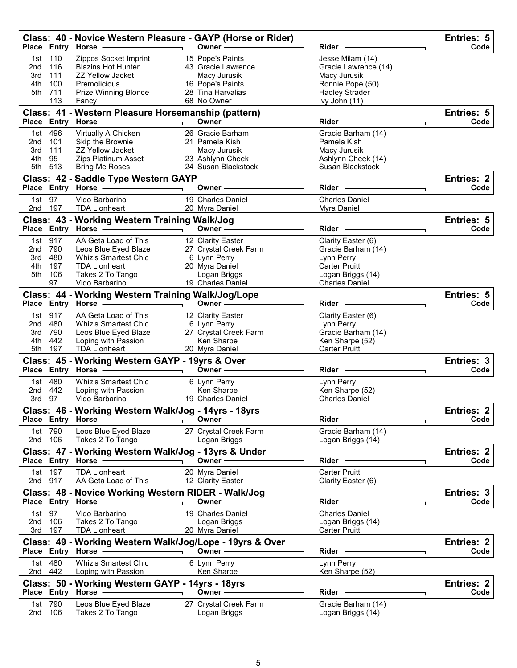|                 |               | Class: 40 - Novice Western Pleasure - GAYP (Horse or Rider)<br>Place Entry Horse -      |                          | Owner-                                  | Rider                                     | Entries: 5<br>Code        |
|-----------------|---------------|-----------------------------------------------------------------------------------------|--------------------------|-----------------------------------------|-------------------------------------------|---------------------------|
| 1st             | 110           | Zippos Socket Imprint                                                                   |                          | 15 Pope's Paints                        | Jesse Milam (14)                          |                           |
| 2nd             | 116           | <b>Blazins Hot Hunter</b>                                                               |                          | 43 Gracie Lawrence                      | Gracie Lawrence (14)                      |                           |
| 3rd             | 111           | <b>ZZ Yellow Jacket</b>                                                                 |                          | Macy Jurusik                            | Macy Jurusik                              |                           |
| 4th<br>5th      | 100<br>711    | Premolicious<br>Prize Winning Blonde                                                    |                          | 16 Pope's Paints<br>28 Tina Harvalias   | Ronnie Pope (50)<br><b>Hadley Strader</b> |                           |
|                 | 113           | Fancy                                                                                   |                          | 68 No Owner                             | Ivy John (11)                             |                           |
|                 |               | Class: 41 - Western Pleasure Horsemanship (pattern)                                     |                          |                                         |                                           | Entries: 5                |
|                 | Place Entry   | <b>Horse</b>                                                                            |                          | Owner-                                  | <b>Rider</b>                              | Code                      |
| 1st             | 496           | Virtually A Chicken                                                                     |                          | 26 Gracie Barham                        | Gracie Barham (14)                        |                           |
| 2 <sub>nd</sub> | 101           | Skip the Brownie                                                                        |                          | 21 Pamela Kish                          | Pamela Kish                               |                           |
| 3rd             | 111           | <b>ZZ Yellow Jacket</b>                                                                 |                          | Macy Jurusik                            | Macy Jurusik                              |                           |
| 4th<br>5th      | 95<br>513     | Zips Platinum Asset<br><b>Bring Me Roses</b>                                            |                          | 23 Ashlynn Cheek<br>24 Susan Blackstock | Ashlynn Cheek (14)<br>Susan Blackstock    |                           |
|                 |               |                                                                                         |                          |                                         |                                           |                           |
|                 |               | Class: 42 - Saddle Type Western GAYP<br>Place Entry Horse -                             |                          | Owner -                                 | Rider                                     | <b>Entries: 2</b><br>Code |
|                 |               |                                                                                         |                          |                                         |                                           |                           |
| 1st l           | 97<br>2nd 197 | Vido Barbarino<br><b>TDA Lionheart</b>                                                  |                          | 19 Charles Daniel<br>20 Myra Daniel     | <b>Charles Daniel</b><br>Myra Daniel      |                           |
|                 |               |                                                                                         |                          |                                         |                                           |                           |
|                 |               | Class: 43 - Working Western Training Walk/Jog<br>Place Entry Horse -                    |                          | Owner-                                  | Rider                                     | <b>Entries: 5</b><br>Code |
|                 | 1st 917       | AA Geta Load of This                                                                    |                          | 12 Clarity Easter                       | Clarity Easter (6)                        |                           |
| 2nd             | 790           | Leos Blue Eyed Blaze                                                                    |                          | 27 Crystal Creek Farm                   | Gracie Barham (14)                        |                           |
| 3rd             | 480           | <b>Whiz's Smartest Chic</b>                                                             |                          | 6 Lynn Perry                            | Lynn Perry                                |                           |
| 4th             | 197           | <b>TDA Lionheart</b>                                                                    |                          | 20 Myra Daniel                          | <b>Carter Pruitt</b>                      |                           |
| 5th             | 106           | Takes 2 To Tango                                                                        |                          | Logan Briggs                            | Logan Briggs (14)                         |                           |
|                 | 97            | Vido Barbarino                                                                          |                          | 19 Charles Daniel                       | <b>Charles Daniel</b>                     |                           |
|                 |               | Class: 44 - Working Western Training Walk/Jog/Lope                                      |                          |                                         |                                           | <b>Entries: 5</b>         |
|                 |               | Place Entry Horse -                                                                     |                          | Owner $\longrightarrow$                 | <b>Rider</b>                              | Code                      |
| 1st             | 917           | AA Geta Load of This                                                                    |                          | 12 Clarity Easter                       | Clarity Easter (6)                        |                           |
| 2nd             | 480           | Whiz's Smartest Chic                                                                    |                          | 6 Lynn Perry                            | Lynn Perry                                |                           |
| 3rd             | 790           | Leos Blue Eyed Blaze                                                                    |                          | 27 Crystal Creek Farm                   | Gracie Barham (14)                        |                           |
| 4th             | 442           | Loping with Passion                                                                     |                          | Ken Sharpe                              | Ken Sharpe (52)                           |                           |
| 5th             | 197           | <b>TDA Lionheart</b>                                                                    |                          | 20 Myra Daniel                          | <b>Carter Pruitt</b>                      |                           |
|                 |               | Class: 45 - Working Western GAYP - 19yrs & Over<br>Place Entry Horse                    |                          | Owner -                                 | <b>Rider</b>                              | Entries: 3<br>Code        |
|                 | 1st 480       | <b>Whiz's Smartest Chic</b>                                                             |                          | 6 Lynn Perry                            | Lynn Perry                                |                           |
| 2nd             | 442           | Loping with Passion                                                                     |                          | Ken Sharpe                              | Ken Sharpe (52)                           |                           |
| 3rd             | 97            | Vido Barbarino                                                                          |                          | 19 Charles Daniel                       | <b>Charles Daniel</b>                     |                           |
|                 |               | Class: 46 - Working Western Walk/Jog - 14yrs - 18yrs                                    |                          |                                         |                                           | Entries: 2                |
|                 |               | Place Entry Horse                                                                       |                          | Owner -                                 | $Rider -$                                 | Code                      |
|                 | 1st 790       | Leos Blue Eyed Blaze                                                                    |                          | 27 Crystal Creek Farm                   | Gracie Barham (14)                        |                           |
|                 | 2nd 106       | Takes 2 To Tango<br>$\overline{\phantom{a}}$ . The contract of $\overline{\phantom{a}}$ |                          | Logan Briggs                            | Logan Briggs (14)                         |                           |
|                 |               | Class: 47 - Working Western Walk/Jog - 13yrs & Under                                    |                          |                                         |                                           | <b>Entries: 2</b>         |
|                 |               | Place Entry Horse - Alleman Martin Communication                                        |                          | Owner —————                             | Rider -                                   | Code                      |
|                 | 1st 197       | <b>TDA Lionheart</b>                                                                    |                          | 20 Myra Daniel                          | <b>Carter Pruitt</b>                      |                           |
|                 | 2nd 917       | AA Geta Load of This                                                                    |                          | 12 Clarity Easter                       | Clarity Easter (6)                        |                           |
|                 |               | Class: 48 - Novice Working Western RIDER - Walk/Jog                                     |                          |                                         |                                           | Entries: 3                |
|                 |               | Place Entry Horse -                                                                     |                          | Owner —                                 | Rider                                     | Code                      |
| 1st 97          |               | Vido Barbarino                                                                          |                          | 19 Charles Daniel                       | <b>Charles Daniel</b>                     |                           |
| 2nd             | 106           | Takes 2 To Tango                                                                        |                          | Logan Briggs                            | Logan Briggs (14)                         |                           |
|                 | 3rd 197       | <b>TDA Lionheart</b>                                                                    |                          | 20 Myra Daniel                          | <b>Carter Pruitt</b>                      |                           |
|                 |               | Class: 49 - Working Western Walk/Jog/Lope - 19yrs & Over                                |                          |                                         |                                           | <b>Entries: 2</b>         |
|                 |               |                                                                                         | $\overline{\phantom{0}}$ | Owner $\longrightarrow$                 | Rider -                                   | Code                      |
|                 | 1st 480       | <b>Whiz's Smartest Chic</b>                                                             |                          | 6 Lynn Perry                            | Lynn Perry                                |                           |
|                 | 2nd 442       | Loping with Passion                                                                     |                          | Ken Sharpe                              | Ken Sharpe (52)                           |                           |
|                 |               | Class: 50 - Working Western GAYP - 14yrs - 18yrs                                        |                          |                                         |                                           | <b>Entries: 2</b>         |
|                 | Place Entry   | Horse ————————                                                                          |                          | Owner —————                             | Rider -                                   | Code                      |
|                 | 1st 790       | Leos Blue Eyed Blaze                                                                    |                          | 27 Crystal Creek Farm                   | Gracie Barham (14)                        |                           |
|                 | 2nd 106       | Takes 2 To Tango                                                                        |                          | Logan Briggs                            | Logan Briggs (14)                         |                           |